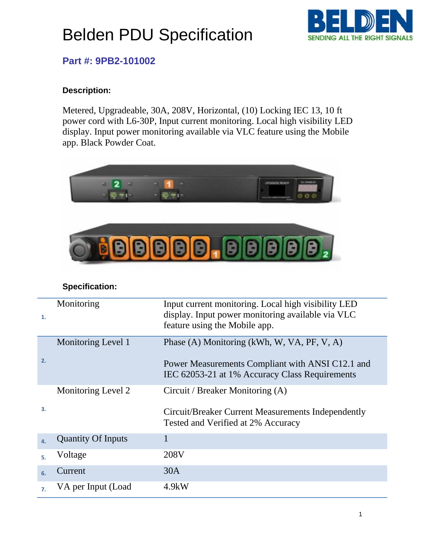# Belden PDU Specification



### **Part #: 9PB2-101002**

#### **Description:**

Metered, Upgradeable, 30A, 208V, Horizontal, (10) Locking IEC 13, 10 ft power cord with L6-30P, Input current monitoring. Local high visibility LED display. Input power monitoring available via VLC feature using the Mobile app. Black Powder Coat.



#### **Specification:**

| 1.               | Monitoring                | Input current monitoring. Local high visibility LED<br>display. Input power monitoring available via VLC<br>feature using the Mobile app. |
|------------------|---------------------------|-------------------------------------------------------------------------------------------------------------------------------------------|
|                  | Monitoring Level 1        | Phase (A) Monitoring (kWh, W, VA, PF, V, A)                                                                                               |
| 2.               |                           | Power Measurements Compliant with ANSI C12.1 and<br>IEC 62053-21 at 1% Accuracy Class Requirements                                        |
|                  | Monitoring Level 2        | Circuit / Breaker Monitoring (A)                                                                                                          |
| 3.               |                           | Circuit/Breaker Current Measurements Independently<br>Tested and Verified at 2% Accuracy                                                  |
| $\mathbf{4}$     | <b>Quantity Of Inputs</b> |                                                                                                                                           |
| 5.               | Voltage                   | 208V                                                                                                                                      |
| 6.               | Current                   | 30A                                                                                                                                       |
| $\overline{7}$ . | VA per Input (Load        | $4.9$ kW                                                                                                                                  |
|                  |                           |                                                                                                                                           |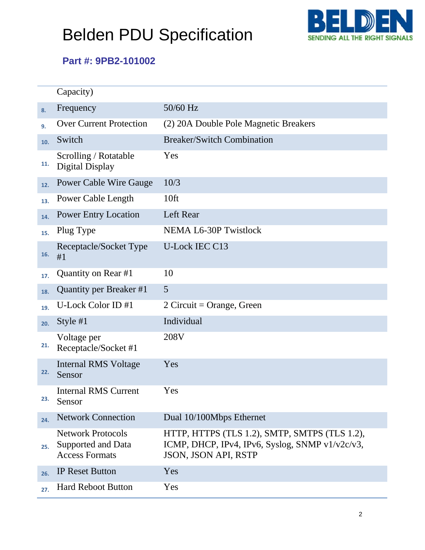# Belden PDU Specification



### **Part #: 9PB2-101002**

|     | Capacity)                                                               |                                                                                                                          |
|-----|-------------------------------------------------------------------------|--------------------------------------------------------------------------------------------------------------------------|
| 8.  | Frequency                                                               | 50/60 Hz                                                                                                                 |
| 9.  | <b>Over Current Protection</b>                                          | (2) 20A Double Pole Magnetic Breakers                                                                                    |
| 10. | Switch                                                                  | <b>Breaker/Switch Combination</b>                                                                                        |
| 11. | Scrolling / Rotatable<br>Digital Display                                | Yes                                                                                                                      |
| 12. | <b>Power Cable Wire Gauge</b>                                           | 10/3                                                                                                                     |
| 13. | Power Cable Length                                                      | 10ft                                                                                                                     |
| 14. | <b>Power Entry Location</b>                                             | Left Rear                                                                                                                |
| 15. | Plug Type                                                               | <b>NEMA L6-30P Twistlock</b>                                                                                             |
| 16. | Receptacle/Socket Type<br>#1                                            | <b>U-Lock IEC C13</b>                                                                                                    |
| 17. | Quantity on Rear #1                                                     | 10                                                                                                                       |
| 18. | Quantity per Breaker #1                                                 | 5                                                                                                                        |
| 19. | U-Lock Color ID #1                                                      | 2 Circuit = Orange, Green                                                                                                |
| 20. | Style $#1$                                                              | Individual                                                                                                               |
| 21. | Voltage per<br>Receptacle/Socket #1                                     | 208V                                                                                                                     |
| 22. | <b>Internal RMS Voltage</b><br>Sensor                                   | Yes                                                                                                                      |
| 23. | <b>Internal RMS Current</b><br>Sensor                                   | Yes                                                                                                                      |
| 24. | <b>Network Connection</b>                                               | Dual 10/100Mbps Ethernet                                                                                                 |
| 25. | <b>Network Protocols</b><br>Supported and Data<br><b>Access Formats</b> | HTTP, HTTPS (TLS 1.2), SMTP, SMTPS (TLS 1.2),<br>ICMP, DHCP, IPv4, IPv6, Syslog, SNMP v1/v2c/v3,<br>JSON, JSON API, RSTP |
| 26. | <b>IP Reset Button</b>                                                  | Yes                                                                                                                      |
| 27. | <b>Hard Reboot Button</b>                                               | Yes                                                                                                                      |